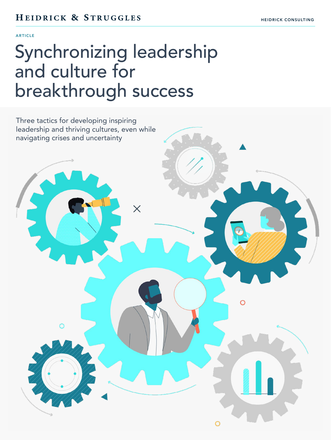#### ARTICLE

# Synchronizing leadership and culture for breakthrough success

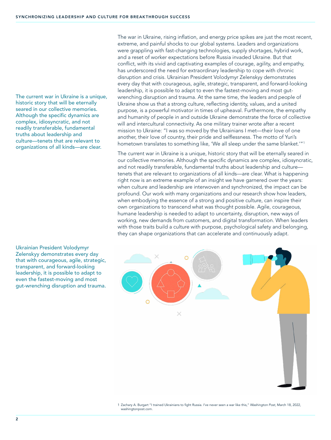The current war in Ukraine is a unique, historic story that will be eternally seared in our collective memories. Although the specific dynamics are complex, idiosyncratic, and not readily transferable, fundamental truths about leadership and culture—tenets that are relevant to organizations of all kinds—are clear.

Ukrainian President Volodymyr Zelenskyy demonstrates every day that with courageous, agile, strategic, transparent, and forward-looking leadership, it is possible to adapt to even the fastest-moving and most gut-wrenching disruption and trauma.

The war in Ukraine, rising inflation, and energy price spikes are just the most recent, extreme, and painful shocks to our global systems. Leaders and organizations were grappling with fast-changing technologies, supply shortages, hybrid work, and a reset of worker expectations before Russia invaded Ukraine. But that conflict, with its vivid and captivating examples of courage, agility, and empathy, has underscored the need for extraordinary leadership to cope with chronic disruption and crisis. Ukrainian President Volodymyr Zelenskyy demonstrates every day that with courageous, agile, strategic, transparent, and forward-looking leadership, it is possible to adapt to even the fastest-moving and most gutwrenching disruption and trauma. At the same time, the leaders and people of Ukraine show us that a strong culture, reflecting identity, values, and a united purpose, is a powerful motivator in times of upheaval. Furthermore, the empathy and humanity of people in and outside Ukraine demonstrate the force of collective will and intercultural connectivity. As one military trainer wrote after a recent mission to Ukraine: "I was so moved by the Ukrainians I met—their love of one another, their love of country, their pride and selflessness. The motto of Yuri's hometown translates to something like, 'We all sleep under the same blanket.'"<sup>1</sup>

The current war in Ukraine is a unique, historic story that will be eternally seared in our collective memories. Although the specific dynamics are complex, idiosyncratic, and not readily transferable, fundamental truths about leadership and culture tenets that are relevant to organizations of all kinds—are clear. What is happening right now is an extreme example of an insight we have garnered over the years: when culture and leadership are interwoven and synchronized, the impact can be profound. Our work with many organizations and our research show how leaders, when embodying the essence of a strong and positive culture, can inspire their own organizations to transcend what was thought possible. Agile, courageous, humane leadership is needed to adapt to uncertainty, disruption, new ways of working, new demands from customers, and digital transformation. When leaders with those traits build a culture with purpose, psychological safety and belonging, they can shape organizations that can accelerate and continuously adapt.



<sup>1</sup> Zachary A. Burgart "I trained Ukrainians to fight Russia. I've never seen a war like this," *Washington Post*, March 18, 2022, washingtonpost.com.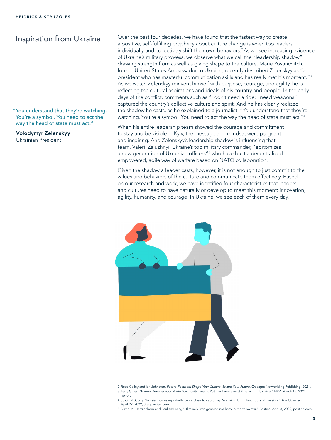"You understand that they're watching. You're a symbol. You need to act the way the head of state must act."

Volodymyr Zelenskyy Ukrainian President

Inspiration from Ukraine Over the past four decades, we have found that the fastest way to create a positive, self-fulfilling prophecy about culture change is when top leaders individually and collectively shift their own behaviors.<sup>2</sup> As we see increasing evidence of Ukraine's military prowess, we observe what we call the "leadership shadow" drawing strength from as well as giving shape to the culture. Marie Yovanovitch, former United States Ambassador to Ukraine, recently described Zelenskyy as "a president who has masterful communication skills and has really met his moment."<sup>3</sup> As we watch Zelenskyy reinvent himself with purpose, courage, and agility, he is reflecting the cultural aspirations and ideals of his country and people. In the early days of the conflict, comments such as "I don't need a ride; I need weapons" captured the country's collective culture and spirit. And he has clearly realized the shadow he casts, as he explained to a journalist: "You understand that they're watching. You're a symbol. You need to act the way the head of state must act."<sup>4</sup>

> When his entire leadership team showed the courage and commitment to stay and be visible in Kyiv, the message and mindset were poignant and inspiring. And Zelenskyy's leadership shadow is influencing that team. Valerii Zaluzhnyi, Ukraine's top military commander, "epitomizes a new generation of Ukrainian officers"<sup>5</sup> who have built a decentralized, empowered, agile way of warfare based on NATO collaboration.

Given the shadow a leader casts, however, it is not enough to just commit to the values and behaviors of the culture and communicate them effectively. Based on our research and work, we have identified four characteristics that leaders and cultures need to have naturally or develop to meet this moment: innovation, agility, humanity, and courage. In Ukraine, we see each of them every day.



<sup>2</sup> Rose Gailey and Ian Johnston, *Future-Focused: Shape Your Culture. Shape Your Future*, Chicago: Networlding Publishing, 2021. 3 Terry Gross, "Former Ambassador Marie Yovanovitch warns Putin will move west if he wins in Ukraine," NPR, March 15, 2022, npr.org.

- 4 Justin McCurry, "Russian forces reportedly came close to capturing Zelenskiy during first hours of invasion," *The Guardian,*  April 29, 2022, theguardian.com.
- 5 David M. Herszenhorn and Paul McLeary, "Ukraine's 'iron general' is a hero, but he's no star," Politico, April 8, 2022, politico.com.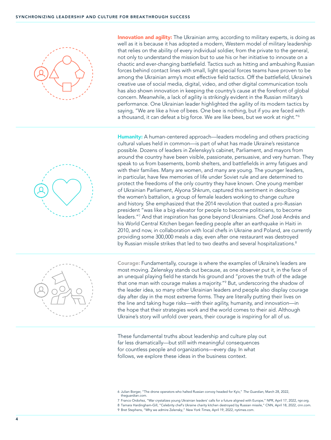

Innovation and agility: The Ukrainian army, according to military experts, is doing as well as it is because it has adopted a modern, Western model of military leadership that relies on the ability of every individual soldier, from the private to the general, not only to understand the mission but to use his or her initiative to innovate on a chaotic and ever-changing battlefield. Tactics such as hitting and ambushing Russian forces behind contact lines with small, light special forces teams have proven to be among the Ukrainian army's most effective field tactics. Off the battlefield, Ukraine's creative use of social media, digital, video, and other digital communication tools has also shown innovation in keeping the country's cause at the forefront of global concern. Meanwhile, a lack of agility is strikingly evident in the Russian military's performance. One Ukrainian leader highlighted the agility of its modern tactics by saying, "We are like a hive of bees. One bee is nothing, but if you are faced with a thousand, it can defeat a big force. We are like bees, but we work at night."<sup>6</sup>



Humanity: A human-centered approach—leaders modeling and others practicing cultural values held in common—is part of what has made Ukraine's resistance possible. Dozens of leaders in Zelenskyy's cabinet, Parliament, and mayors from around the country have been visible, passionate, persuasive, and very human. They speak to us from basements, bomb shelters, and battlefields in army fatigues and with their families. Many are women, and many are young. The younger leaders, in particular, have few memories of life under Soviet rule and are determined to protect the freedoms of the only country they have known. One young member of Ukrainian Parliament, Alyona Shkrum, captured this sentiment in describing the women's battalion, a group of female leaders working to change culture and history. She emphasized that the 2014 revolution that ousted a pro-Russian president "was like a big elevator for people to become politicians, to become leaders."<sup>7</sup> And that inspiration has gone beyond Ukrainians. Chef José Andrés and his World Central Kitchen began feeding people after an earthquake in Haiti in 2010, and now, in collaboration with local chefs in Ukraine and Poland, are currently providing some 300,000 meals a day, even after one restaurant was destroyed by Russian missile strikes that led to two deaths and several hospitalizations.<sup>8</sup>



Courage: Fundamentally, courage is where the examples of Ukraine's leaders are most moving. Zelenskyy stands out because, as one observer put it, in the face of an unequal playing field he stands his ground and "proves the truth of the adage that one man with courage makes a majority."<sup>9</sup> But, underscoring the shadow of the leader idea, so many other Ukrainian leaders and people also display courage day after day in the most extreme forms. They are literally putting their lives on the line and taking huge risks—with their agility, humanity, and innovation—in the hope that their strategies work and the world comes to their aid. Although Ukraine's story will unfold over years, their courage is inspiring for all of us.

These fundamental truths about leadership and culture play out far less dramatically—but still with meaningful consequences for countless people and organizations—every day. In what follows, we explore these ideas in the business context.

9 Bret Stephens, "Why we admire Zelensky," New York Times, April 19, 2022, nytimes.com.

<sup>6</sup>  Julian Borger, "The drone operators who halted Russian convoy headed for Kyiv," *The Guardian,* March 28, 2022, theguardian.com.

<sup>7</sup> Franco Ordoñez, "War crystalizes young Ukrainian leaders' calls for a future aligned with Europe," NPR, April 17, 2022, npr.org.

<sup>8</sup> Tamara Hardingham-Gill, "Celebrity chef's Ukraine charity kitchen destroyed by Russian missile," CNN, April 18, 2022, cnn.com.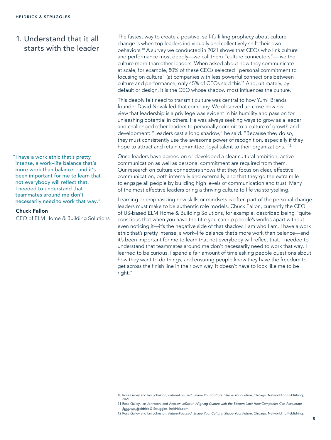## 1. Understand that it all starts with the leader

"I have a work ethic that's pretty intense, a work–life balance that's more work than balance—and it's been important for me to learn that not everybody will reflect that. I needed to understand that teammates around me don't necessarily need to work that way."

#### Chuck Fallon

CEO of ELM Home & Building Solutions

The fastest way to create a positive, self-fulfilling prophecy about culture change is when top leaders individually and collectively shift their own behaviors.<sup>10</sup> A survey we conducted in 2021 shows that CEOs who link culture and performance most deeply-we call them "culture connectors"-live the culture more than other leaders. When asked about how they communicate at scale, for example, 80% of these CEOs selected "personal commitment to focusing on culture" (at companies with less powerful connections between culture and performance, only 45% of CEOs said this.<sup>11</sup> And, ultimately, by default or design, it is the CEO whose shadow most influences the culture.

This deeply felt need to transmit culture was central to how Yum! Brands founder David Novak led that company. We observed up close how his view that leadership is a privilege was evident in his humility and passion for unleashing potential in others. He was always seeking ways to grow as a leader and challenged other leaders to personally commit to a culture of growth and development: "Leaders cast a long shadow," he said. "Because they do so, they must consistently use the awesome power of recognition, especially if they hope to attract and retain committed, loyal talent to their organizations."<sup>12</sup>

Once leaders have agreed on or developed a clear cultural ambition, active communication as well as personal commitment are required from them. Our research on culture connectors shows that they focus on clear, effective communication, both internally and externally, and that they go the extra mile to engage all people by building high levels of communication and trust. Many of the most effective leaders bring a thriving culture to life via storytelling.

Learning or emphasizing new skills or mindsets is often part of the personal change leaders must make to be authentic role models. Chuck Fallon, currently the CEO of US-based ELM Home & Building Solutions, for example, described being "quite conscious that when you have the title you can rip people's worlds apart without even noticing it-it's the negative side of that shadow. I am who I am. I have a work ethic that's pretty intense, a work-life balance that's more work than balance—and it's been important for me to learn that not everybody will reflect that. I needed to understand that teammates around me don't necessarily need to work that way. I learned to be curious. I spend a fair amount of time asking people questions about how they want to do things, and ensuring people know they have the freedom to get across the finish line in their own way. It doesn't have to look like me to be right."

<sup>10</sup> Rose Gailey and lan Johnston, Future-Focused: Shape Your Culture. Shape Your Future, Chicago: Networlding Publishing, 2021.

<sup>11</sup> Rose Gailey, Ian Johnston, and Andrew LeSueur, Aligning Culture with the Bottom Line: How Companies Can Accelerate Brogress geidrick & Struggles, heidrick.com.<br>12 Rose Gailey and Ian Johnston, Future-Focused: Shape Your Culture. Shape Your Future, Chicago: Networlding Publishing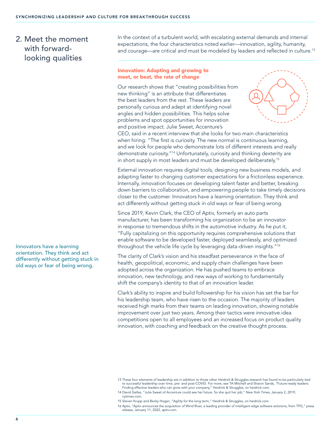## 2. Meet the moment with forwardlooking qualities

Innovators have a learning orientation. They think and act differently without getting stuck in old ways or fear of being wrong.

In the context of a turbulent world, with escalating external demands and internal expectations, the four characteristics noted earlier—innovation, agility, humanity, and courage—are critical and must be modeled by leaders and reflected in culture.<sup>13</sup>

#### Innovation: Adapting and growing to meet, or beat, the rate of change

Our research shows that "creating possibilities from new thinking" is an attribute that differentiates the best leaders from the rest. These leaders are personally curious and adept at identifying novel angles and hidden possibilities. This helps solve problems and spot opportunities for innovation and positive impact. Julie Sweet, Accenture's



CEO, said in a recent interview that she looks for two main characteristics when hiring: "The first is curiosity. The new normal is continuous learning, and we look for people who demonstrate lots of different interests and really demonstrate curiosity."<sup>14</sup> Unfortunately, curiosity and thinking dexterity are in short supply in most leaders and must be developed deliberately.<sup>15</sup>

External innovation requires digital tools, designing new business models, and adapting faster to changing customer expectations for a frictionless experience. Internally, innovation focuses on developing talent faster and better, breaking down barriers to collaboration, and empowering people to take timely decisions closer to the customer. Innovators have a learning orientation. They think and act differently without getting stuck in old ways or fear of being wrong.

Since 2019, Kevin Clark, the CEO of Aptiv, formerly an auto parts manufacturer, has been transforming his organization to be an innovator in response to tremendous shifts in the automotive industry. As he put it, "Fully capitalizing on this opportunity requires comprehensive solutions that enable software to be developed faster, deployed seamlessly, and optimized throughout the vehicle life cycle by leveraging data-driven insights."<sup>16</sup>

The clarity of Clark's vision and his steadfast perseverance in the face of health, geopolitical, economic, and supply chain challenges have been adopted across the organization. He has pushed teams to embrace innovation, new technology, and new ways of working to fundamentally shift the company's identity to that of an innovation leader.

Clark's ability to inspire and build followership for his vision has set the bar for his leadership team, who have risen to the occasion. The majority of leaders received high marks from their teams on leading innovation, showing notable improvement over just two years. Among their tactics were innovative idea competitions open to all employees and an increased focus on product quality innovation, with coaching and feedback on the creative thought process.

<sup>13</sup> These four elements of leadership are in addition to those other Heidrick & Struggles research has found to be particularly tied to successful leadership over time, pre- and post-COVID. For more, see TA Mitchell and Sharon Sands, "Future-ready leaders:<br>Finding effective leaders who can grow with your company," Heidrick & Struggles, on heidrick.com.

<sup>14</sup> David Gelles, "Julie Sweet of Accenture could see her future. So she quit her job," *New York Times,* January 2, 2019, nytimes.com.

<sup>15</sup> Steven Krupp and Becky Hogan, "Agility for the long term," Heidrick & Struggles, on heidrick.com.

<sup>16</sup> Aptiv, "Aptiv announces the acquisition of Wind River, a leading provider of intelligent edge software solutions, from TPG," press release, January 11, 2022, aptiv.com.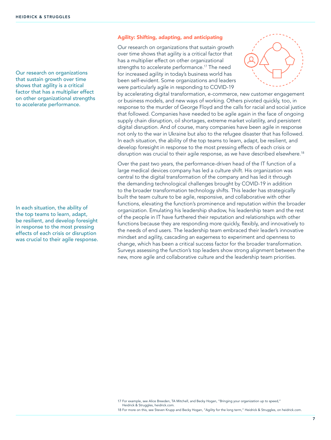Our research on organizations that sustain growth over time shows that agility is a critical factor that has a multiplier effect on other organizational strengths to accelerate performance.

In each situation, the ability of the top teams to learn, adapt, be resilient, and develop foresight in response to the most pressing effects of each crisis or disruption was crucial to their agile response.

#### Agility: Shifting, adapting, and anticipating

Our research on organizations that sustain growth over time shows that agility is a critical factor that has a multiplier effect on other organizational strengths to accelerate performance.<sup>17</sup> The need for increased agility in today's business world has been self-evident. Some organizations and leaders were particularly agile in responding to COVID-19



by accelerating digital transformation, e-commerce, new customer engagement or business models, and new ways of working. Others pivoted quickly, too, in response to the murder of George Floyd and the calls for racial and social justice that followed. Companies have needed to be agile again in the face of ongoing supply chain disruption, oil shortages, extreme market volatility, and persistent digital disruption. And of course, many companies have been agile in response not only to the war in Ukraine but also to the refugee disaster that has followed. In each situation, the ability of the top teams to learn, adapt, be resilient, and develop foresight in response to the most pressing effects of each crisis or disruption was crucial to their agile response, as we have described elsewhere.<sup>18</sup>

Over the past two years, the performance-driven head of the IT function of a large medical devices company has led a culture shift. His organization was central to the digital transformation of the company and has led it through the demanding technological challenges brought by COVID-19 in addition to the broader transformation technology shifts. This leader has strategically built the team culture to be agile, responsive, and collaborative with other functions, elevating the function's prominence and reputation within the broader organization. Emulating his leadership shadow, his leadership team and the rest of the people in IT have furthered their reputation and relationships with other functions because they are responding more quickly, flexibly, and innovatively to the needs of end users. The leadership team embraced their leader's innovative mindset and agility, cascading an eagerness to experiment and openness to change, which has been a critical success factor for the broader transformation. Surveys assessing the function's top leaders show strong alignment between the new, more agile and collaborative culture and the leadership team priorities.

<sup>17</sup> For example, see Alice Breeden, TA Mitchell, and Becky Hogan, "Bringing your organization up to speed," Heidrick & Struggles, heidrick.com.

<sup>18</sup> For more on this, see Steven Krupp and Becky Hogan, "Agility for the long term," Heidrick & Struggles, on heidrick.com.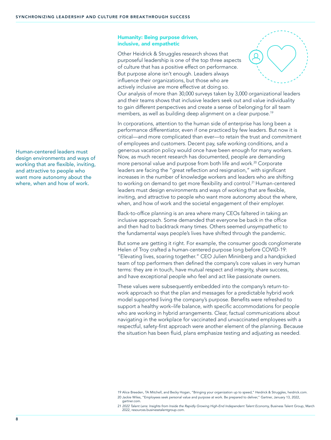#### Humanity: Being purpose driven, inclusive, and empathetic

Other Heidrick & Struggles research shows that purposeful leadership is one of the top three aspects of culture that has a positive effect on performance. But purpose alone isn't enough. Leaders always influence their organizations, but those who are actively inclusive are more effective at doing so.



Our analysis of more than 30,000 surveys taken by 3,000 organizational leaders and their teams shows that inclusive leaders seek out and value individuality to gain different perspectives and create a sense of belonging for all team members, as well as building deep alignment on a clear purpose.<sup>19</sup>

In corporations, attention to the human side of enterprise has long been a performance differentiator, even if one practiced by few leaders. But now it is critical—and more complicated than ever—to retain the trust and commitment of employees and customers. Decent pay, safe working conditions, and a generous vacation policy would once have been enough for many workers. Now, as much recent research has documented, people are demanding more personal value and purpose from both life and work.<sup>20</sup> Corporate leaders are facing the "great reflection and resignation," with significant increases in the number of knowledge workers and leaders who are shifting to working on demand to get more flexibility and control.<sup>21</sup> Human-centered leaders must design environments and ways of working that are flexible, inviting, and attractive to people who want more autonomy about the where, when, and how of work and the societal engagement of their employer.

Back-to-office planning is an area where many CEOs faltered in taking an inclusive approach. Some demanded that everyone be back in the office and then had to backtrack many times. Others seemed unsympathetic to the fundamental ways people's lives have shifted through the pandemic.

But some are getting it right. For example, the consumer goods conglomerate Helen of Troy crafted a human-centered purpose long before COVID-19: "Elevating lives, soaring together." CEO Julien Mininberg and a handpicked team of top performers then defined the company's core values in very human terms: they are in touch, have mutual respect and integrity, share success, and have exceptional people who feel and act like passionate owners.

These values were subsequently embedded into the company's return-towork approach so that the plan and messages for a predictable hybrid work model supported living the company's purpose. Benefits were refreshed to support a healthy work–life balance, with specific accommodations for people who are working in hybrid arrangements. Clear, factual communications about navigating in the workplace for vaccinated and unvaccinated employees with a respectful, safety-first approach were another element of the planning. Because the situation has been fluid, plans emphasize testing and adjusting as needed.

21 *2022 Talent Lens: Insights from Inside the Rapidly Growing High-End Independent Talent Economy,* Business Talent Group, March 2022, resources.businesstalentgroup.com.

Human-centered leaders must design environments and ways of working that are flexible, inviting, and attractive to people who want more autonomy about the where, when and how of work.

<sup>19</sup> Alice Breeden, TA Mitchell, and Becky Hogan, "Bringing your organization up to speed," Heidrick & Struggles, heidrick.com. 20 Jackie Wiles, "Employees seek personal value and purpose at work. Be prepared to deliver," Gartner, January 13, 2022, gartner.com.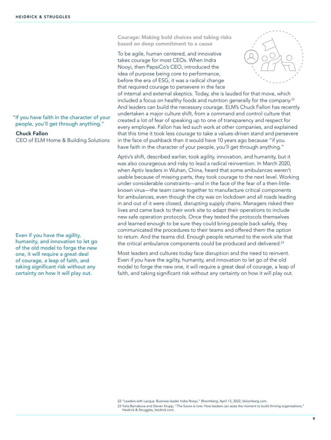"If you have faith in the character of your people, you'll get through anything."

#### Chuck Fallon

CEO of ELM Home & Building Solutions

Even if you have the agility, humanity, and innovation to let go of the old model to forge the new one, it will require a great deal of courage, a leap of faith, and taking significant risk without any certainty on how it will play out.

Courage: Making bold choices and taking risks based on deep commitment to a cause

To be agile, human centered, and innovative takes courage for most CEOs. When Indra Nooyi, then PepsiCo's CEO, introduced the idea of purpose being core to performance, before the era of ESG, it was a radical change that required courage to persevere in the face



of internal and external skeptics. Today, she is lauded for that move, which included a focus on healthy foods and nutrition generally for the company.<sup>22</sup> And leaders can build the necessary courage. ELM's Chuck Fallon has recently undertaken a major culture shift, from a command and control culture that created a lot of fear of speaking up to one of transparency and respect for every employee. Fallon has led such work at other companies, and explained that this time it took less courage to take a values-driven stand and persevere in the face of pushback than it would have 10 years ago because "if you have faith in the character of your people, you'll get through anything."

Aptiv's shift, described earlier, took agility, innovation, and humanity, but it was also courageous and risky to lead a radical reinvention. In March 2020, when Aptiv leaders in Wuhan, China, heard that some ambulances weren't usable because of missing parts, they took courage to the next level. Working under considerable constraints—and in the face of the fear of a then-littleknown virus—the team came together to manufacture critical components for ambulances, even though the city was on lockdown and all roads leading in and out of it were closed, disrupting supply chains. Managers risked their lives and came back to their work site to adapt their operations to include new safe operation protocols. Once they tested the protocols themselves and learned enough to be sure they could bring people back safely, they communicated the procedures to their teams and offered them the option to return. And the teams did. Enough people returned to the work site that the critical ambulance components could be produced and delivered.<sup>23</sup>

Most leaders and cultures today face disruption and the need to reinvent. Even if you have the agility, humanity, and innovation to let go of the old model to forge the new one, it will require a great deal of courage, a leap of faith, and taking significant risk without any certainty on how it will play out.

<sup>22</sup> "Leaders with Lacqua: Business leader Indra Nooyi," Bloomberg, April 13, 2022, bloomberg.com. 23 Yulia Barnakova and Steven Krupp, "The future is now: How leaders can seize the moment to build thriving organizations," Heidrick & Struggles, heidrick.com.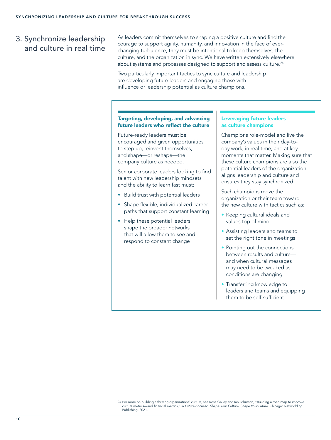## 3. Synchronize leadership and culture in real time

As leaders commit themselves to shaping a positive culture and find the courage to support agility, humanity, and innovation in the face of everchanging turbulence, they must be intentional to keep themselves, the culture, and the organization in sync. We have written extensively elsewhere about systems and processes designed to support and assess culture.<sup>24</sup>

Two particularly important tactics to sync culture and leadership are developing future leaders and engaging those with influence or leadership potential as culture champions.

#### Targeting, developing, and advancing future leaders who reflect the culture

Future-ready leaders must be encouraged and given opportunities to step up, reinvent themselves, and shape—or reshape—the company culture as needed.

Senior corporate leaders looking to find talent with new leadership mindsets and the ability to learn fast must:

- Build trust with potential leaders
- Shape flexible, individualized career paths that support constant learning
- Help these potential leaders shape the broader networks that will allow them to see and respond to constant change

### Leveraging future leaders as culture champions

Champions role-model and live the company's values in their day-today work, in real time, and at key moments that matter. Making sure that these culture champions are also the potential leaders of the organization aligns leadership and culture and ensures they stay synchronized.

Such champions move the organization or their team toward the new culture with tactics such as:

- Keeping cultural ideals and values top of mind
- Assisting leaders and teams to set the right tone in meetings
- Pointing out the connections between results and culture and when cultural messages may need to be tweaked as conditions are changing
- Transferring knowledge to leaders and teams and equipping them to be self-sufficient

24 For more on building a thriving organizational culture, see Rose Gailey and Ian Johnston, "Building a road map to improve culture metrics—and financial metrics," in *Future-Focused: Shape Your Culture. Shape Your Future,* Chicago: Networlding Publishing, 2021.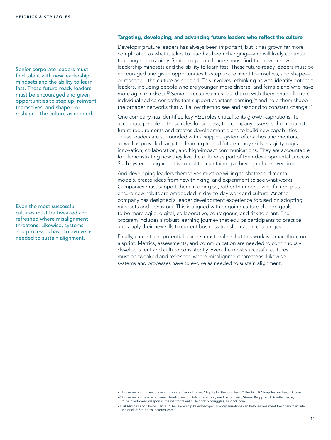Senior corporate leaders must find talent with new leadership mindsets and the ability to learn fast. These future-ready leaders must be encouraged and given opportunities to step up, reinvent themselves, and shape—or reshape—the culture as needed.

Even the most successful cultures must be tweaked and refreshed where misalignment threatens. Likewise, systems and processes have to evolve as needed to sustain alignment.

#### Targeting, developing, and advancing future leaders who reflect the culture

Developing future leaders has always been important, but it has grown far more complicated as what it takes to lead has been changing—and will likely continue to change—so rapidly. Senior corporate leaders must find talent with new leadership mindsets and the ability to learn fast. These future-ready leaders must be encouraged and given opportunities to step up, reinvent themselves, and shape or reshape—the culture as needed. This involves rethinking how to identify potential leaders, including people who are younger, more diverse, and female and who have more agile mindsets.<sup>25</sup> Senior executives must build trust with them; shape flexible, individualized career paths that support constant learning; $^{26}$  and help them shape the broader networks that will allow them to see and respond to constant change.<sup>27</sup>

One company has identified key P&L roles critical to its growth aspirations. To accelerate people in these roles for success, the company assesses them against future requirements and creates development plans to build new capabilities. These leaders are surrounded with a support system of coaches and mentors, as well as provided targeted learning to add future-ready skills in agility, digital innovation, collaboration, and high-impact communications. They are accountable for demonstrating how they live the culture as part of their developmental success. Such systemic alignment is crucial to maintaining a thriving culture over time.

And developing leaders themselves must be willing to shatter old mental models, create ideas from new thinking, and experiment to see what works. Companies must support them in doing so, rather than penalizing failure, plus ensure new habits are embedded in day-to-day work and culture. Another company has designed a leader development experience focused on adopting mindsets and behaviors. This is aligned with ongoing culture change goals to be more agile, digital, collaborative, courageous, and risk tolerant. The program includes a robust learning journey that equips participants to practice and apply their new sills to current business transformation challenges.

Finally, current and potential leaders must realize that this work is a marathon, not a sprint. Metrics, assessments, and communication are needed to continuously develop talent and culture consistently. Even the most successful cultures must be tweaked and refreshed where misalignment threatens. Likewise, systems and processes have to evolve as needed to sustain alignment.

<sup>25</sup> For more on this, see Steven Krupp and Becky Hogan, "Agility for the long term," Heidrick & Struggles, on heidrick.com. 26 For more on the role of career development in talent retention, see Lisa B. Baird, Steven Krupp, and Dorothy Badie,

<sup>&</sup>quot;The overlooked weapon in the war for talent," Heidrick & Struggles, heidrick.com. 27 TA Mitchell and Sharon Sands, "The leadership kaleidoscope: How organizations can help leaders meet their new mandate," Heidrick & Struggles, heidrick.com.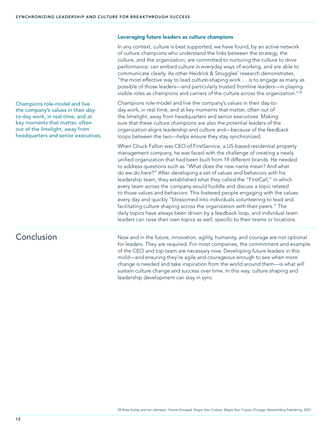Champions role-model and live the company's values in their dayto-day work, in real time, and at key moments that matter, often out of the limelight, away from headquarters and senior executives.

#### Leveraging future leaders as culture champions

In any context, culture is best supported, we have found, by an active network of culture champions who understand the links between the strategy, the culture, and the organization; are committed to nurturing the culture to drive performance; can embed culture in everyday ways of working; and are able to communicate clearly. As other Heidrick & Struggles' research demonstrates, "the most effective way to lead culture-shaping work … is to engage as many as possible of those leaders—and particularly trusted frontline leaders—in playing visible roles as champions and carriers of the culture across the organization."<sup>28</sup>

Champions role-model and live the company's values in their day-today work, in real time, and at key moments that matter, often out of the limelight, away from headquarters and senior executives. Making sure that these culture champions are also the potential leaders of the organization aligns leadership and culture and—because of the feedback loops between the two—helps ensure they stay synchronized.

When Chuck Fallon was CEO of FirstService, a US-based residential property management company, he was faced with the challenge of creating a newly unified organization that had been built from 19 different brands. He needed to address questions such as "What does the new name mean? And what do we do here?" After developing a set of values and behaviors with his leadership team, they established what they called the "FirstCall," in which every team across the company would huddle and discuss a topic related to those values and behaviors. This fostered people engaging with the values every day and quickly "blossomed into individuals volunteering to lead and facilitating culture shaping across the organization with their peers." The daily topics have always been driven by a feedback loop, and individual team leaders can raise their own topics as well, specific to their teams or locations.

## Conclusion

Now and in the future, innovation, agility, humanity, and courage are not optional for leaders. They are required. For most companies, the commitment and example of the CEO and top team are necessary now. Developing future leaders in this mold—and ensuring they're agile and courageous enough to see when more change is needed and take inspiration from the world around them—is what will sustain culture change and success over time. In this way, culture shaping and leadership development can stay in sync.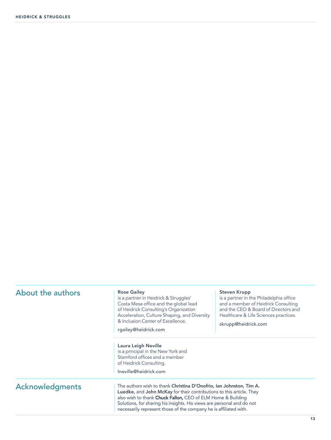| About the authors | <b>Rose Gailey</b><br>is a partner in Heidrick & Struggles'<br>Costa Mesa office and the global lead<br>of Heidrick Consulting's Organization<br>Acceleration, Culture Shaping, and Diversity<br>& Inclusion Center of Excellence.<br>rgailey@heidrick.com                                                                                                       | <b>Steven Krupp</b><br>is a partner in the Philadelphia office<br>and a member of Heidrick Consulting<br>and the CEO & Board of Directors and<br>Healthcare & Life Sciences practices.<br>skrupp@heidrick.com |  |
|-------------------|------------------------------------------------------------------------------------------------------------------------------------------------------------------------------------------------------------------------------------------------------------------------------------------------------------------------------------------------------------------|---------------------------------------------------------------------------------------------------------------------------------------------------------------------------------------------------------------|--|
|                   | Laura Leigh Neville<br>is a principal in the New York and<br>Stamford offices and a member<br>of Heidrick Consulting.                                                                                                                                                                                                                                            |                                                                                                                                                                                                               |  |
|                   | Ineville@heidrick.com                                                                                                                                                                                                                                                                                                                                            |                                                                                                                                                                                                               |  |
| Acknowledgments   | The authors wish to thank Christina D'Onofrio, Ian Johnston, Tim A.<br><b>Luedke, and John McKay</b> for their contributions to this article. They<br>also wish to thank Chuck Fallon, CEO of ELM Home & Building<br>Solutions, for sharing his insights. His views are personal and do not<br>necessarily represent those of the company he is affiliated with. |                                                                                                                                                                                                               |  |